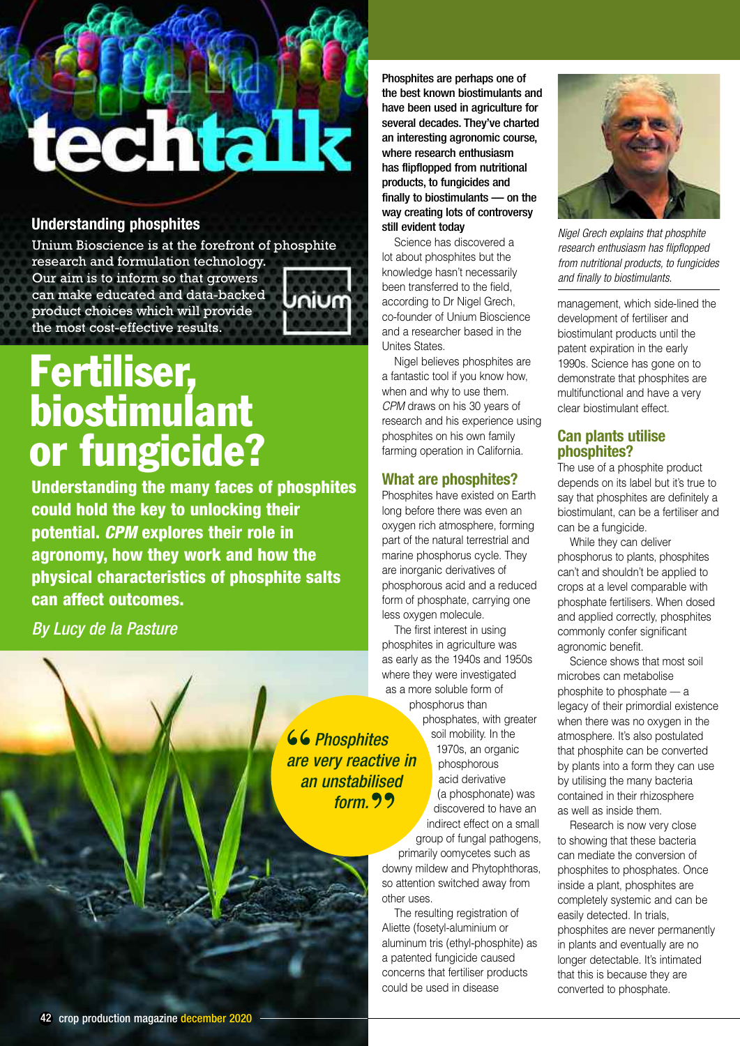# echtalk

# **Understanding phosphites**

Unium Bioscience is at the forefront of phosphite

research and formulation technology. Our aim is to inform so that growers can make educated and data-backed product choices which will provide the most cost-effective results.



# **Fertiliser, biostimulant or fungicide?**

**Understanding the many faces of phosphites could hold the key to unlocking their potential.** *CPM* **explores their role in agronomy, how they work and how the physical characteristics of phosphite salts can affect outcomes.**

*By Lucy de la Pasture*

Phosphites are perhaps one of the best known biostimulants and have been used in agriculture for several decades. They've charted an interesting agronomic course, where research enthusiasm has flipflopped from nutritional products, to fungicides and finally to biostimulants - on the way creating lots of controversy still evident today

Science has discovered a lot about phosphites but the knowledge hasn't necessarily been transferred to the field, according to Dr Nigel Grech, co-founder of Unium Bioscience and a researcher based in the Unites States.

Nigel believes phosphites are a fantastic tool if you know how, when and why to use them. *CPM* draws on his 30 years of research and his experience using phosphites on his own family farming operation in California.

# **What are phosphites?**

Phosphites have existed on Earth long before there was even an oxygen rich atmosphere, forming part of the natural terrestrial and marine phosphorus cycle. They are inorganic derivatives of phosphorous acid and a reduced form of phosphate, carrying one less oxygen molecule.

The first interest in using phosphites in agriculture was as early as the 1940s and 1950s where they were investigated as a more soluble form of phosphorus than

phosphates, with greater soil mobility. In the 1970s, an organic phosphorous acid derivative (a phosphonate) was discovered to have an indirect effect on a small group of fungal pathogens,

primarily oomycetes such as downy mildew and Phytophthoras, so attention switched away from other uses.

The resulting registration of Aliette (fosetyl-aluminium or aluminum tris (ethyl-phosphite) as a patented fungicide caused concerns that fertiliser products could be used in disease



*Nigel Grech explains that phosphite research enthusiasm has flipflopped from nutritional products, to fungicides and finally to biostimulants.*

management, which side-lined the development of fertiliser and biostimulant products until the patent expiration in the early 1990s. Science has gone on to demonstrate that phosphites are multifunctional and have a very clear biostimulant effect.

# **Can plants utilise phosphites?**

The use of a phosphite product depends on its label but it's true to say that phosphites are definitely a biostimulant, can be a fertiliser and can be a fungicide.

While they can deliver phosphorus to plants, phosphites can't and shouldn't be applied to crops at a level comparable with phosphate fertilisers. When dosed and applied correctly, phosphites commonly confer significant agronomic benefit.

Science shows that most soil microbes can metabolise phosphite to phosphate –– a legacy of their primordial existence when there was no oxygen in the atmosphere. It's also postulated that phosphite can be converted by plants into a form they can use by utilising the many bacteria contained in their rhizosphere as well as inside them.

Research is now very close to showing that these bacteria can mediate the conversion of phosphites to phosphates. Once inside a plant, phosphites are completely systemic and can be easily detected. In trials, phosphites are never permanently in plants and eventually are no longer detectable. It's intimated that this is because they are converted to phosphate.

Exam unstabilise<br>
Form. Production<br>
Parameter and a second of the set of the set of the set of the set of the set of the set of the set of the set of the set of the set of the set of the set of the set of the set of the se *are very reactive in an unstabilised form.***" 66 Phosphites**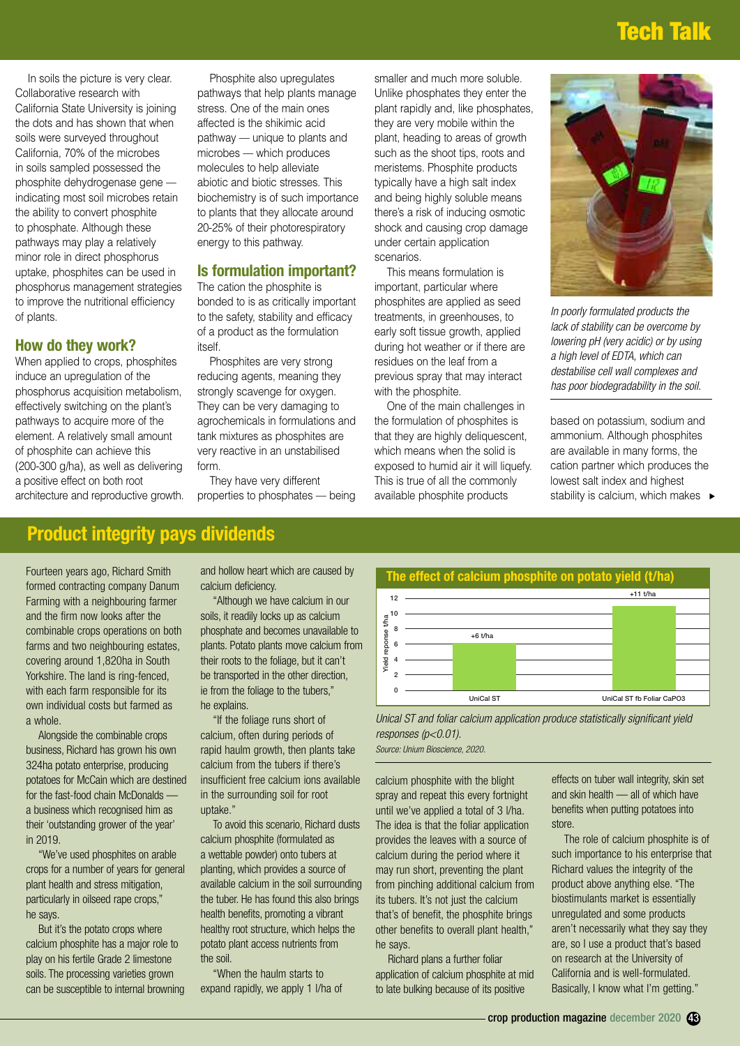# **Tech Talk**

In soils the picture is very clear. Collaborative research with California State University is joining the dots and has shown that when soils were surveyed throughout California, 70% of the microbes in soils sampled possessed the phosphite dehydrogenase gene –– indicating most soil microbes retain the ability to convert phosphite to phosphate. Although these pathways may play a relatively minor role in direct phosphorus uptake, phosphites can be used in phosphorus management strategies to improve the nutritional efficiency of plants.

### **How do they work?**

When applied to crops, phosphites induce an upregulation of the phosphorus acquisition metabolism, effectively switching on the plant's pathways to acquire more of the element. A relatively small amount of phosphite can achieve this (200-300 g/ha), as well as delivering a positive effect on both root architecture and reproductive growth.

Phosphite also upregulates pathways that help plants manage stress. One of the main ones affected is the shikimic acid pathway — unique to plants and microbes –– which produces molecules to help alleviate abiotic and biotic stresses. This biochemistry is of such importance to plants that they allocate around 20-25% of their photorespiratory energy to this pathway.

### **Is formulation important?**

The cation the phosphite is bonded to is as critically important to the safety, stability and efficacy of a product as the formulation itself.

Phosphites are very strong reducing agents, meaning they strongly scavenge for oxygen. They can be very damaging to agrochemicals in formulations and tank mixtures as phosphites are very reactive in an unstabilised form.

They have very different properties to phosphates - being smaller and much more soluble. Unlike phosphates they enter the plant rapidly and, like phosphates, they are very mobile within the plant, heading to areas of growth such as the shoot tips, roots and meristems. Phosphite products typically have a high salt index and being highly soluble means there's a risk of inducing osmotic shock and causing crop damage under certain application scenarios.

This means formulation is important, particular where phosphites are applied as seed treatments, in greenhouses, to early soft tissue growth, applied during hot weather or if there are residues on the leaf from a previous spray that may interact with the phosphite.

One of the main challenges in the formulation of phosphites is that they are highly deliquescent, which means when the solid is exposed to humid air it will liquefy. This is true of all the commonly available phosphite products



*In poorly formulated products the lack of stability can be overcome by lowering pH (very acidic) or by using a high level of EDTA, which can destabilise cell wall complexes and has poor biodegradability in the soil.*

based on potassium, sodium and ammonium. Although phosphites are available in many forms, the cation partner which produces the lowest salt index and highest stability is calcium, which makes  $\rightarrow$ 

# **Product integrity pays dividends**

Fourteen years ago, Richard Smith formed contracting company Danum Farming with a neighbouring farmer and the firm now looks after the combinable crops operations on both farms and two neighbouring estates, covering around 1,820ha in South Yorkshire. The land is ring-fenced, with each farm responsible for its own individual costs but farmed as a whole.

Alongside the combinable crops business, Richard has grown his own 324ha potato enterprise, producing potatoes for McCain which are destined for the fast-food chain McDonalds –– a business which recognised him as their 'outstanding grower of the year' in 2019.

"We've used phosphites on arable crops for a number of years for general plant health and stress mitigation, particularly in oilseed rape crops," he says.

But it's the potato crops where calcium phosphite has a major role to play on his fertile Grade 2 limestone soils. The processing varieties grown can be susceptible to internal browning and hollow heart which are caused by calcium deficiency.

"Although we have calcium in our soils, it readily locks up as calcium phosphate and becomes unavailable to plants. Potato plants move calcium from their roots to the foliage, but it can't be transported in the other direction, ie from the foliage to the tubers," he explains.

"If the foliage runs short of calcium, often during periods of rapid haulm growth, then plants take calcium from the tubers if there's insufficient free calcium ions available in the surrounding soil for root uptake."

To avoid this scenario, Richard dusts calcium phosphite (formulated as a wettable powder) onto tubers at planting, which provides a source of available calcium in the soil surrounding the tuber. He has found this also brings health benefits, promoting a vibrant healthy root structure, which helps the potato plant access nutrients from the soil.

"When the haulm starts to expand rapidly, we apply 1 l/ha of



*Unical ST and foliar calcium application produce statistically significant yield responses (p<0.01).*

*Source: Unium Bioscience, 2020.*

calcium phosphite with the blight spray and repeat this every fortnight until we've applied a total of 3 l/ha. The idea is that the foliar application provides the leaves with a source of calcium during the period where it may run short, preventing the plant from pinching additional calcium from its tubers. It's not just the calcium that's of benefit, the phosphite brings other benefits to overall plant health," he says.

Richard plans a further foliar application of calcium phosphite at mid to late bulking because of its positive

effects on tuber wall integrity, skin set and skin health –– all of which have benefits when putting potatoes into store.

The role of calcium phosphite is of such importance to his enterprise that Richard values the integrity of the product above anything else. "The biostimulants market is essentially unregulated and some products aren't necessarily what they say they are, so I use a product that's based on research at the University of California and is well-formulated. Basically, I know what I'm getting."